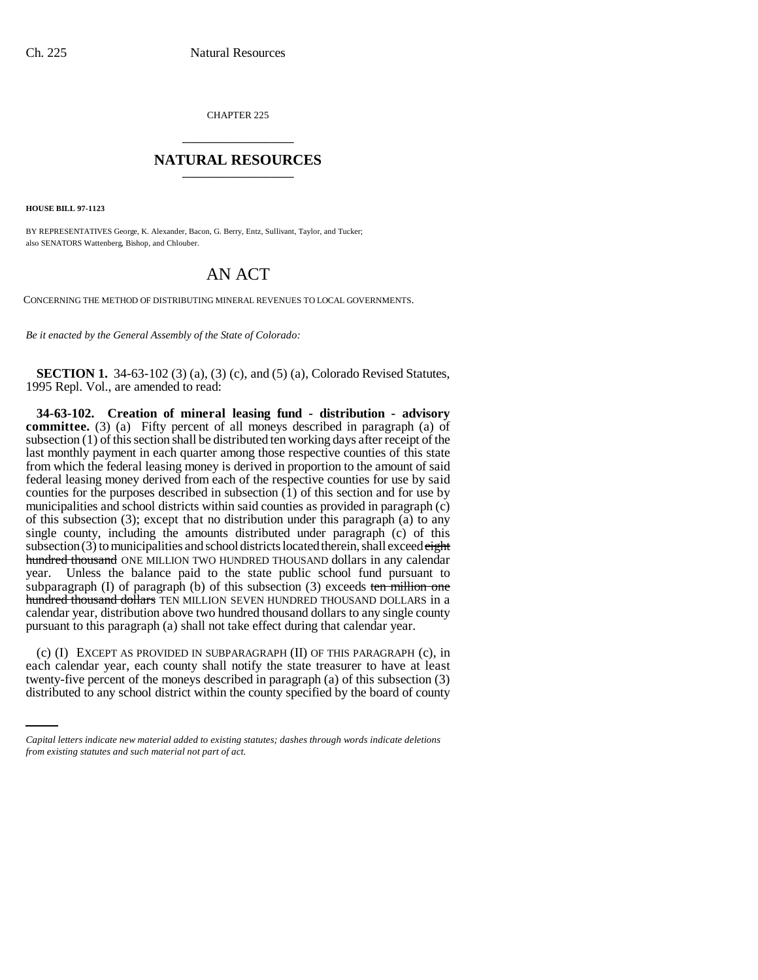CHAPTER 225 \_\_\_\_\_\_\_\_\_\_\_\_\_\_\_

## **NATURAL RESOURCES** \_\_\_\_\_\_\_\_\_\_\_\_\_\_\_

**HOUSE BILL 97-1123**

BY REPRESENTATIVES George, K. Alexander, Bacon, G. Berry, Entz, Sullivant, Taylor, and Tucker; also SENATORS Wattenberg, Bishop, and Chlouber.

## AN ACT

CONCERNING THE METHOD OF DISTRIBUTING MINERAL REVENUES TO LOCAL GOVERNMENTS.

*Be it enacted by the General Assembly of the State of Colorado:*

**SECTION 1.** 34-63-102 (3) (a), (3) (c), and (5) (a), Colorado Revised Statutes, 1995 Repl. Vol., are amended to read:

**34-63-102. Creation of mineral leasing fund - distribution - advisory** committee. (3) (a) Fifty percent of all moneys described in paragraph (a) of subsection (1) of this section shall be distributed ten working days after receipt of the last monthly payment in each quarter among those respective counties of this state from which the federal leasing money is derived in proportion to the amount of said federal leasing money derived from each of the respective counties for use by said counties for the purposes described in subsection (1) of this section and for use by municipalities and school districts within said counties as provided in paragraph (c) of this subsection (3); except that no distribution under this paragraph (a) to any single county, including the amounts distributed under paragraph (c) of this subsection  $(3)$  to municipalities and school districts located therein, shall exceed  $\frac{$ hundred thousand ONE MILLION TWO HUNDRED THOUSAND dollars in any calendar year. Unless the balance paid to the state public school fund pursuant to subparagraph  $(I)$  of paragraph  $(b)$  of this subsection  $(3)$  exceeds ten million one hundred thousand dollars TEN MILLION SEVEN HUNDRED THOUSAND DOLLARS in a calendar year, distribution above two hundred thousand dollars to any single county pursuant to this paragraph (a) shall not take effect during that calendar year.

each calendar year, each county shall notify the state treasurer to have at least (c) (I) EXCEPT AS PROVIDED IN SUBPARAGRAPH (II) OF THIS PARAGRAPH (c), in twenty-five percent of the moneys described in paragraph (a) of this subsection (3) distributed to any school district within the county specified by the board of county

*Capital letters indicate new material added to existing statutes; dashes through words indicate deletions from existing statutes and such material not part of act.*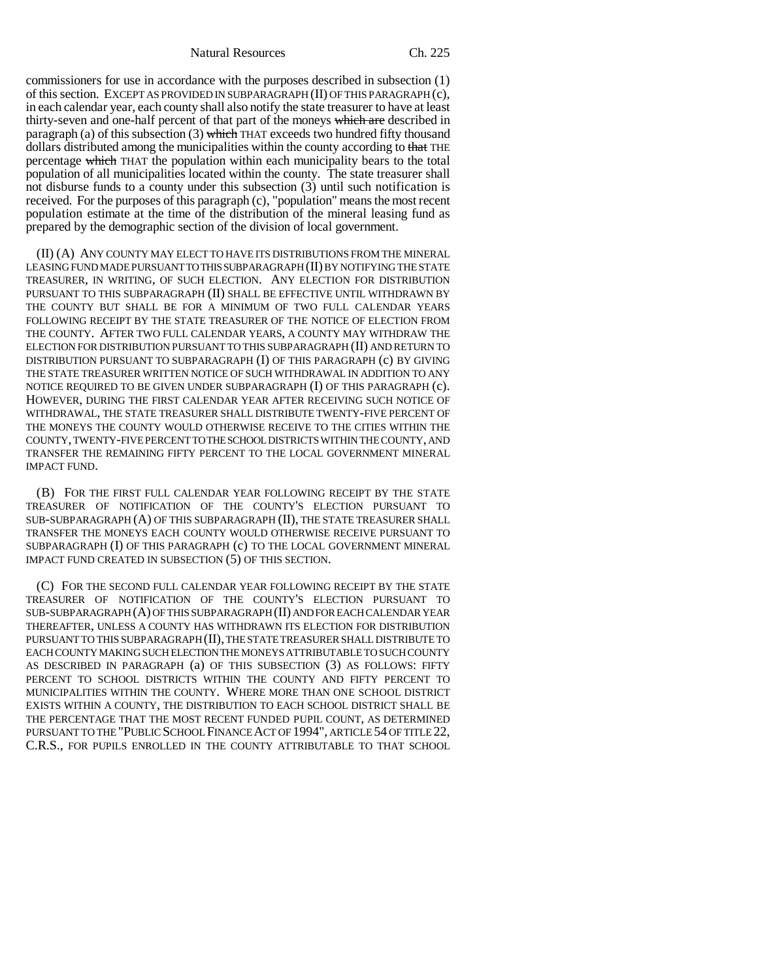Natural Resources Ch. 225

commissioners for use in accordance with the purposes described in subsection (1) of this section. EXCEPT AS PROVIDED IN SUBPARAGRAPH (II) OF THIS PARAGRAPH (c), in each calendar year, each county shall also notify the state treasurer to have at least thirty-seven and one-half percent of that part of the moneys which are described in paragraph (a) of this subsection (3) which THAT exceeds two hundred fifty thousand dollars distributed among the municipalities within the county according to that THE percentage which THAT the population within each municipality bears to the total population of all municipalities located within the county. The state treasurer shall not disburse funds to a county under this subsection (3) until such notification is received. For the purposes of this paragraph (c), "population" means the most recent population estimate at the time of the distribution of the mineral leasing fund as prepared by the demographic section of the division of local government.

(II) (A) ANY COUNTY MAY ELECT TO HAVE ITS DISTRIBUTIONS FROM THE MINERAL LEASING FUND MADE PURSUANT TO THIS SUBPARAGRAPH (II) BY NOTIFYING THE STATE TREASURER, IN WRITING, OF SUCH ELECTION. ANY ELECTION FOR DISTRIBUTION PURSUANT TO THIS SUBPARAGRAPH (II) SHALL BE EFFECTIVE UNTIL WITHDRAWN BY THE COUNTY BUT SHALL BE FOR A MINIMUM OF TWO FULL CALENDAR YEARS FOLLOWING RECEIPT BY THE STATE TREASURER OF THE NOTICE OF ELECTION FROM THE COUNTY. AFTER TWO FULL CALENDAR YEARS, A COUNTY MAY WITHDRAW THE ELECTION FOR DISTRIBUTION PURSUANT TO THIS SUBPARAGRAPH (II) AND RETURN TO DISTRIBUTION PURSUANT TO SUBPARAGRAPH (I) OF THIS PARAGRAPH (c) BY GIVING THE STATE TREASURER WRITTEN NOTICE OF SUCH WITHDRAWAL IN ADDITION TO ANY NOTICE REQUIRED TO BE GIVEN UNDER SUBPARAGRAPH (I) OF THIS PARAGRAPH (c). HOWEVER, DURING THE FIRST CALENDAR YEAR AFTER RECEIVING SUCH NOTICE OF WITHDRAWAL, THE STATE TREASURER SHALL DISTRIBUTE TWENTY-FIVE PERCENT OF THE MONEYS THE COUNTY WOULD OTHERWISE RECEIVE TO THE CITIES WITHIN THE COUNTY, TWENTY-FIVE PERCENT TO THE SCHOOL DISTRICTS WITHIN THE COUNTY, AND TRANSFER THE REMAINING FIFTY PERCENT TO THE LOCAL GOVERNMENT MINERAL IMPACT FUND.

(B) FOR THE FIRST FULL CALENDAR YEAR FOLLOWING RECEIPT BY THE STATE TREASURER OF NOTIFICATION OF THE COUNTY'S ELECTION PURSUANT TO SUB-SUBPARAGRAPH (A) OF THIS SUBPARAGRAPH (II), THE STATE TREASURER SHALL TRANSFER THE MONEYS EACH COUNTY WOULD OTHERWISE RECEIVE PURSUANT TO SUBPARAGRAPH (I) OF THIS PARAGRAPH (c) TO THE LOCAL GOVERNMENT MINERAL IMPACT FUND CREATED IN SUBSECTION (5) OF THIS SECTION.

(C) FOR THE SECOND FULL CALENDAR YEAR FOLLOWING RECEIPT BY THE STATE TREASURER OF NOTIFICATION OF THE COUNTY'S ELECTION PURSUANT TO SUB-SUBPARAGRAPH (A) OF THIS SUBPARAGRAPH (II) AND FOR EACH CALENDAR YEAR THEREAFTER, UNLESS A COUNTY HAS WITHDRAWN ITS ELECTION FOR DISTRIBUTION PURSUANT TO THIS SUBPARAGRAPH (II), THE STATE TREASURER SHALL DISTRIBUTE TO EACH COUNTY MAKING SUCH ELECTION THE MONEYS ATTRIBUTABLE TO SUCH COUNTY AS DESCRIBED IN PARAGRAPH (a) OF THIS SUBSECTION (3) AS FOLLOWS: FIFTY PERCENT TO SCHOOL DISTRICTS WITHIN THE COUNTY AND FIFTY PERCENT TO MUNICIPALITIES WITHIN THE COUNTY. WHERE MORE THAN ONE SCHOOL DISTRICT EXISTS WITHIN A COUNTY, THE DISTRIBUTION TO EACH SCHOOL DISTRICT SHALL BE THE PERCENTAGE THAT THE MOST RECENT FUNDED PUPIL COUNT, AS DETERMINED PURSUANT TO THE "PUBLIC SCHOOL FINANCE ACT OF 1994", ARTICLE 54 OF TITLE 22, C.R.S., FOR PUPILS ENROLLED IN THE COUNTY ATTRIBUTABLE TO THAT SCHOOL